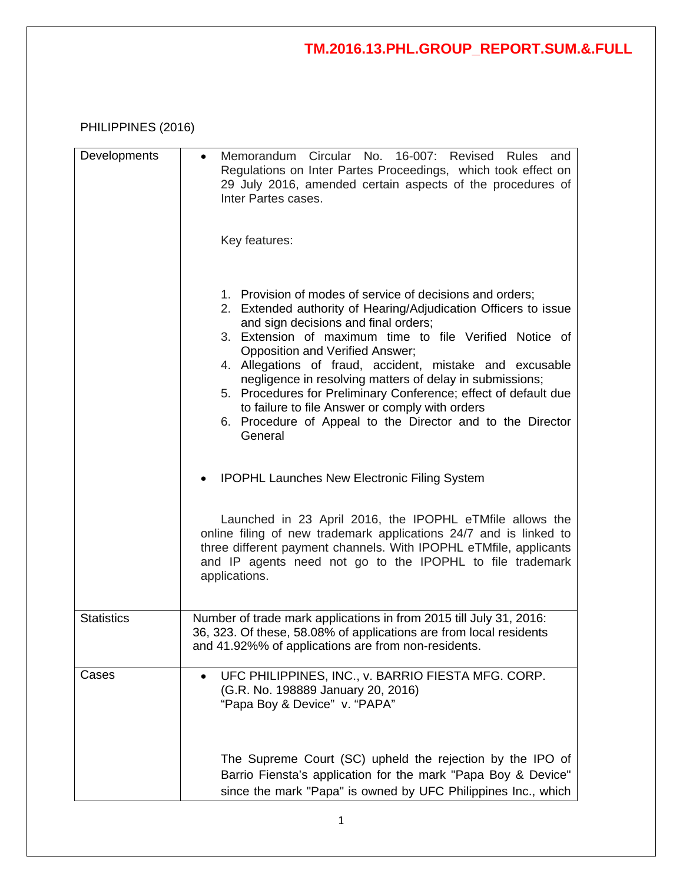## PHILIPPINES (2016)

| Developments      | Memorandum Circular No. 16-007: Revised Rules and<br>$\bullet$<br>Regulations on Inter Partes Proceedings, which took effect on<br>29 July 2016, amended certain aspects of the procedures of<br>Inter Partes cases.<br>Key features:                                                                                                                                                                                                                                                                                                                                                     |
|-------------------|-------------------------------------------------------------------------------------------------------------------------------------------------------------------------------------------------------------------------------------------------------------------------------------------------------------------------------------------------------------------------------------------------------------------------------------------------------------------------------------------------------------------------------------------------------------------------------------------|
|                   | 1. Provision of modes of service of decisions and orders;<br>2. Extended authority of Hearing/Adjudication Officers to issue<br>and sign decisions and final orders;<br>3. Extension of maximum time to file Verified Notice of<br>Opposition and Verified Answer;<br>4. Allegations of fraud, accident, mistake and excusable<br>negligence in resolving matters of delay in submissions;<br>5. Procedures for Preliminary Conference; effect of default due<br>to failure to file Answer or comply with orders<br>6. Procedure of Appeal to the Director and to the Director<br>General |
|                   | <b>IPOPHL Launches New Electronic Filing System</b>                                                                                                                                                                                                                                                                                                                                                                                                                                                                                                                                       |
|                   | Launched in 23 April 2016, the IPOPHL eTMfile allows the<br>online filing of new trademark applications 24/7 and is linked to<br>three different payment channels. With IPOPHL eTMfile, applicants<br>and IP agents need not go to the IPOPHL to file trademark<br>applications.                                                                                                                                                                                                                                                                                                          |
| <b>Statistics</b> | Number of trade mark applications in from 2015 till July 31, 2016:<br>36, 323. Of these, 58.08% of applications are from local residents<br>and 41.92%% of applications are from non-residents.                                                                                                                                                                                                                                                                                                                                                                                           |
| Cases             | UFC PHILIPPINES, INC., v. BARRIO FIESTA MFG. CORP.<br>$\bullet$<br>(G.R. No. 198889 January 20, 2016)<br>"Papa Boy & Device" v. "PAPA"                                                                                                                                                                                                                                                                                                                                                                                                                                                    |
|                   | The Supreme Court (SC) upheld the rejection by the IPO of<br>Barrio Fiensta's application for the mark "Papa Boy & Device"<br>since the mark "Papa" is owned by UFC Philippines Inc., which                                                                                                                                                                                                                                                                                                                                                                                               |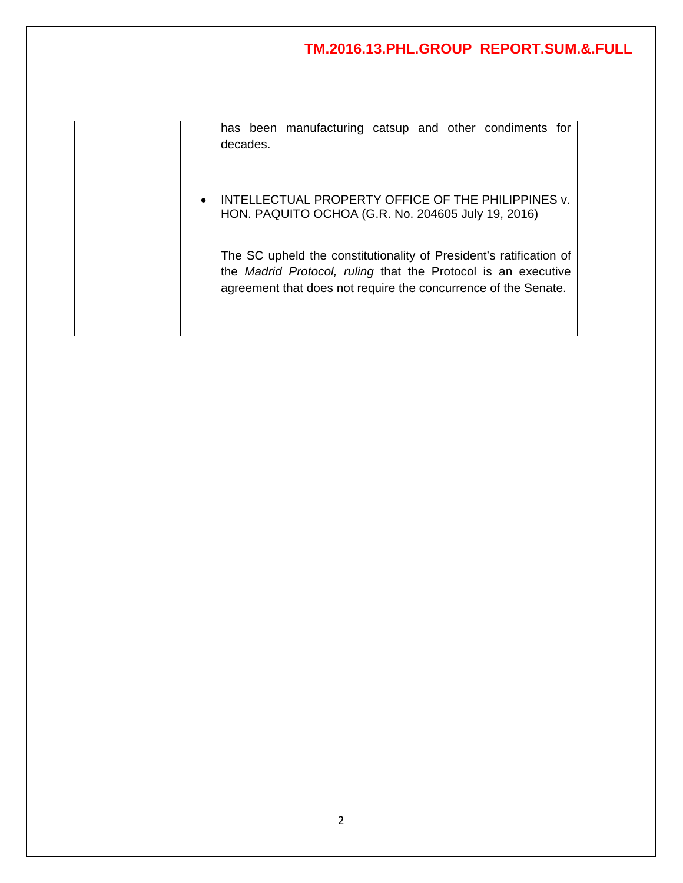|          | has been manufacturing catsup and other condiments for |  |  |  |
|----------|--------------------------------------------------------|--|--|--|
| decades. |                                                        |  |  |  |

• INTELLECTUAL PROPERTY OFFICE OF THE PHILIPPINES v. HON. PAQUITO OCHOA (G.R. No. 204605 July 19, 2016)

The SC upheld the constitutionality of President's ratification of the *Madrid Protocol, ruling* that the Protocol is an executive agreement that does not require the concurrence of the Senate.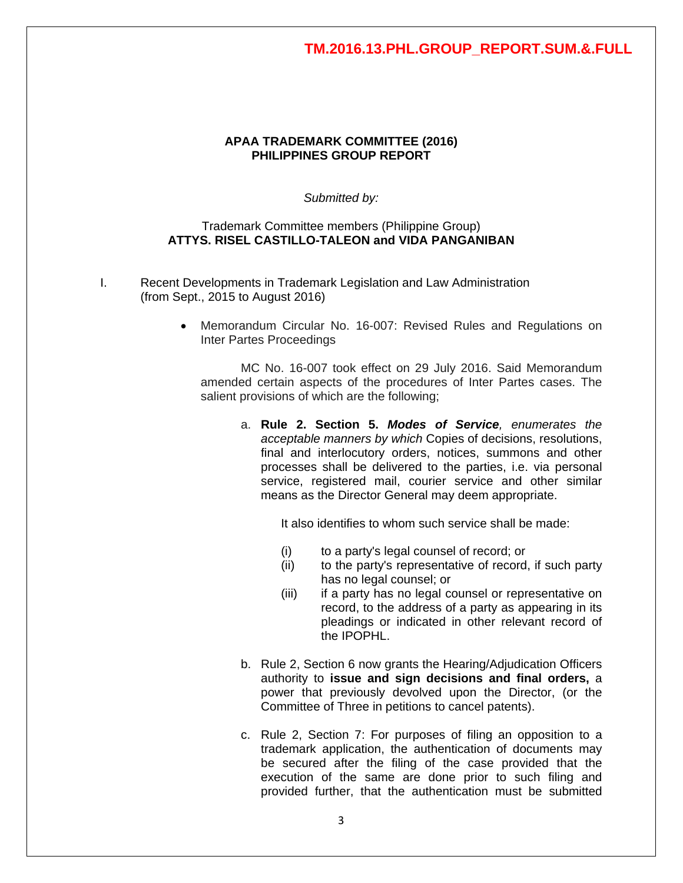#### **APAA TRADEMARK COMMITTEE (2016) PHILIPPINES GROUP REPORT**

*Submitted by:*

#### Trademark Committee members (Philippine Group) **ATTYS. RISEL CASTILLO-TALEON and VIDA PANGANIBAN**

- I. Recent Developments in Trademark Legislation and Law Administration (from Sept., 2015 to August 2016)
	- Memorandum Circular No. 16-007: Revised Rules and Regulations on Inter Partes Proceedings

MC No. 16-007 took effect on 29 July 2016. Said Memorandum amended certain aspects of the procedures of Inter Partes cases. The salient provisions of which are the following;

a. **Rule 2. Section 5.** *Modes of Service, enumerates the acceptable manners by which* Copies of decisions, resolutions, final and interlocutory orders, notices, summons and other processes shall be delivered to the parties, i.e. via personal service, registered mail, courier service and other similar means as the Director General may deem appropriate.

It also identifies to whom such service shall be made:

- (i) to a party's legal counsel of record; or
- (ii) to the party's representative of record, if such party has no legal counsel; or
- (iii) if a party has no legal counsel or representative on record, to the address of a party as appearing in its pleadings or indicated in other relevant record of the IPOPHL.
- b. Rule 2, Section 6 now grants the Hearing/Adjudication Officers authority to **issue and sign decisions and final orders,** a power that previously devolved upon the Director, (or the Committee of Three in petitions to cancel patents).
- c. Rule 2, Section 7: For purposes of filing an opposition to a trademark application, the authentication of documents may be secured after the filing of the case provided that the execution of the same are done prior to such filing and provided further, that the authentication must be submitted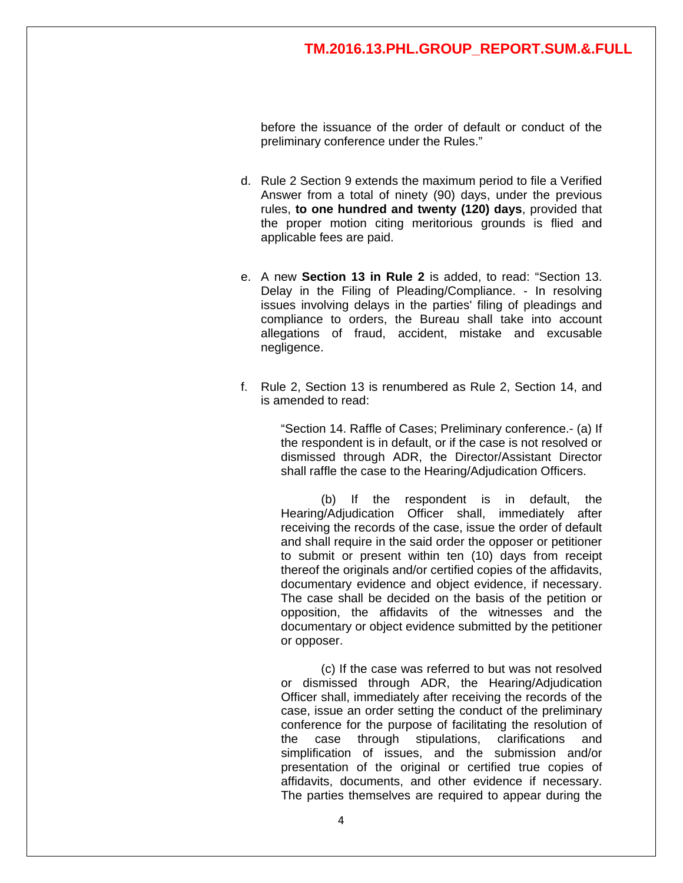before the issuance of the order of default or conduct of the preliminary conference under the Rules."

- d. Rule 2 Section 9 extends the maximum period to file a Verified Answer from a total of ninety (90) days, under the previous rules, **to one hundred and twenty (120) days**, provided that the proper motion citing meritorious grounds is flied and applicable fees are paid.
- e. A new **Section 13 in Rule 2** is added, to read: "Section 13. Delay in the Filing of Pleading/Compliance. - In resolving issues involving delays in the parties' filing of pleadings and compliance to orders, the Bureau shall take into account allegations of fraud, accident, mistake and excusable negligence.
- f. Rule 2, Section 13 is renumbered as Rule 2, Section 14, and is amended to read:

"Section 14. Raffle of Cases; Preliminary conference.- (a) If the respondent is in default, or if the case is not resolved or dismissed through ADR, the Director/Assistant Director shall raffle the case to the Hearing/Adjudication Officers.

(b) If the respondent is in default, the Hearing/Adjudication Officer shall, immediately after receiving the records of the case, issue the order of default and shall require in the said order the opposer or petitioner to submit or present within ten (10) days from receipt thereof the originals and/or certified copies of the affidavits, documentary evidence and object evidence, if necessary. The case shall be decided on the basis of the petition or opposition, the affidavits of the witnesses and the documentary or object evidence submitted by the petitioner or opposer.

(c) If the case was referred to but was not resolved or dismissed through ADR, the Hearing/Adjudication Officer shall, immediately after receiving the records of the case, issue an order setting the conduct of the preliminary conference for the purpose of facilitating the resolution of the case through stipulations, clarifications and simplification of issues, and the submission and/or presentation of the original or certified true copies of affidavits, documents, and other evidence if necessary. The parties themselves are required to appear during the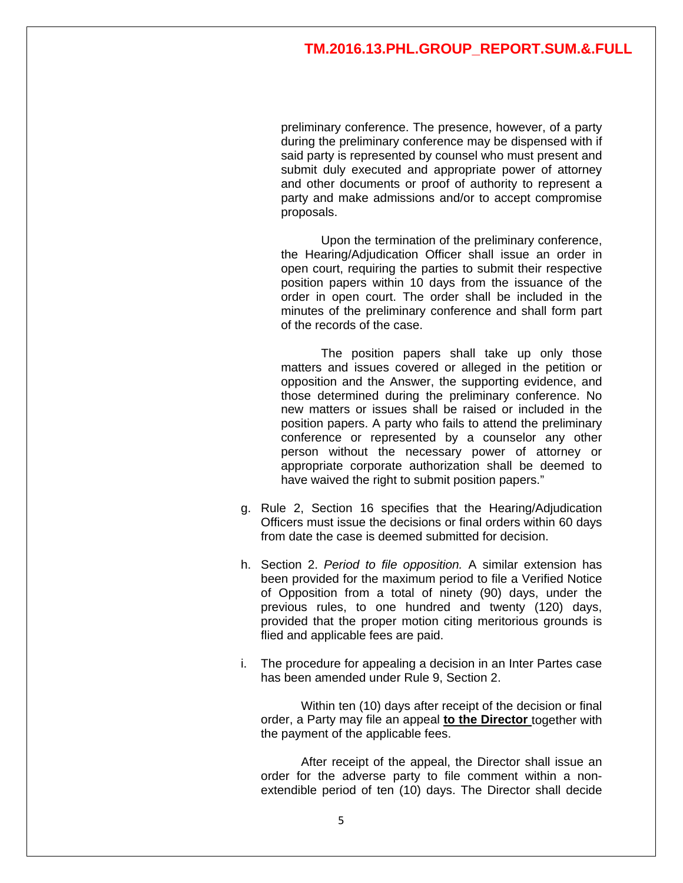preliminary conference. The presence, however, of a party during the preliminary conference may be dispensed with if said party is represented by counsel who must present and submit duly executed and appropriate power of attorney and other documents or proof of authority to represent a party and make admissions and/or to accept compromise proposals.

Upon the termination of the preliminary conference, the Hearing/Adjudication Officer shall issue an order in open court, requiring the parties to submit their respective position papers within 10 days from the issuance of the order in open court. The order shall be included in the minutes of the preliminary conference and shall form part of the records of the case.

The position papers shall take up only those matters and issues covered or alleged in the petition or opposition and the Answer, the supporting evidence, and those determined during the preliminary conference. No new matters or issues shall be raised or included in the position papers. A party who fails to attend the preliminary conference or represented by a counselor any other person without the necessary power of attorney or appropriate corporate authorization shall be deemed to have waived the right to submit position papers."

- g. Rule 2, Section 16 specifies that the Hearing/Adjudication Officers must issue the decisions or final orders within 60 days from date the case is deemed submitted for decision.
- h. Section 2. *Period to file opposition.* A similar extension has been provided for the maximum period to file a Verified Notice of Opposition from a total of ninety (90) days, under the previous rules, to one hundred and twenty (120) days, provided that the proper motion citing meritorious grounds is flied and applicable fees are paid.
- i. The procedure for appealing a decision in an Inter Partes case has been amended under Rule 9, Section 2.

Within ten (10) days after receipt of the decision or final order, a Party may file an appeal **to the Director** together with the payment of the applicable fees.

After receipt of the appeal, the Director shall issue an order for the adverse party to file comment within a nonextendible period of ten (10) days. The Director shall decide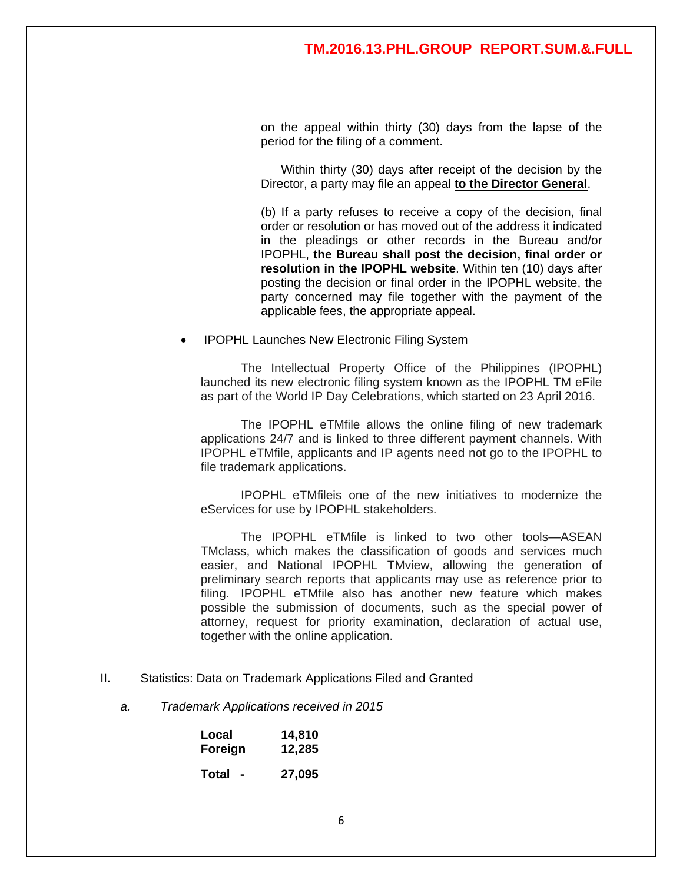on the appeal within thirty (30) days from the lapse of the period for the filing of a comment.

Within thirty (30) days after receipt of the decision by the Director, a party may file an appeal **to the Director General**.

(b) If a party refuses to receive a copy of the decision, final order or resolution or has moved out of the address it indicated in the pleadings or other records in the Bureau and/or IPOPHL, **the Bureau shall post the decision, final order or resolution in the IPOPHL website**. Within ten (10) days after posting the decision or final order in the IPOPHL website, the party concerned may file together with the payment of the applicable fees, the appropriate appeal.

• IPOPHL Launches New Electronic Filing System

The Intellectual Property Office of the Philippines (IPOPHL) launched its new electronic filing system known as the IPOPHL TM eFile as part of the World IP Day Celebrations, which started on 23 April 2016.

The IPOPHL eTMfile allows the online filing of new trademark applications 24/7 and is linked to three different payment channels. With IPOPHL eTMfile, applicants and IP agents need not go to the IPOPHL to file trademark applications.

IPOPHL eTMfileis one of the new initiatives to modernize the eServices for use by IPOPHL stakeholders.

The IPOPHL eTMfile is linked to two other tools—ASEAN TMclass, which makes the classification of goods and services much easier, and National IPOPHL TMview, allowing the generation of preliminary search reports that applicants may use as reference prior to filing. IPOPHL eTMfile also has another new feature which makes possible the submission of documents, such as the special power of attorney, request for priority examination, declaration of actual use, together with the online application.

- II. Statistics: Data on Trademark Applications Filed and Granted
	- *a. Trademark Applications received in 2015*

| Local                             | 14,810 |
|-----------------------------------|--------|
| Foreign                           | 12,285 |
| Total<br>$\overline{\phantom{0}}$ | 27,095 |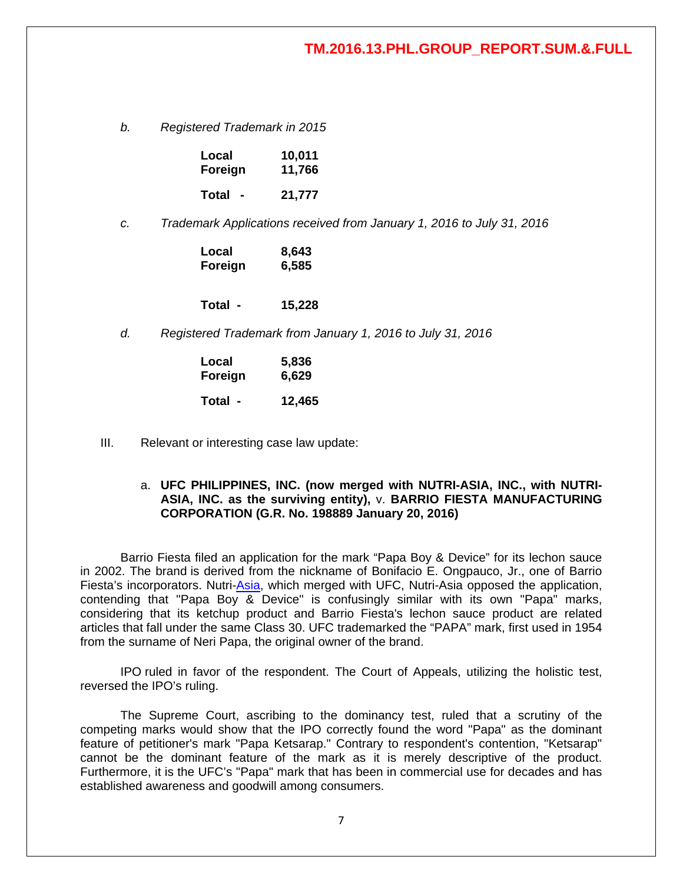*b. Registered Trademark in 2015*

| Local   | 10,011 |  |
|---------|--------|--|
| Foreign | 11,766 |  |
| Total   | 21,777 |  |

*c. Trademark Applications received from January 1, 2016 to July 31, 2016*

| Local   | 8,643 |  |
|---------|-------|--|
| Foreign | 6,585 |  |

**Total - 15,228**

*d. Registered Trademark from January 1, 2016 to July 31, 2016*

| Local   | 5,836  |  |
|---------|--------|--|
| Foreign | 6,629  |  |
| Total - | 12,465 |  |

III. Relevant or interesting case law update:

#### a. **UFC PHILIPPINES, INC. (now merged with NUTRI-ASIA, INC., with NUTRI-ASIA, INC. as the surviving entity),** v. **BARRIO FIESTA MANUFACTURING CORPORATION (G.R. No. 198889 January 20, 2016)**

Barrio Fiesta filed an application for the mark "Papa Boy & Device" for its lechon sauce in 2002. The brand is derived from the nickname of Bonifacio E. Ongpauco, Jr., one of Barrio Fiesta's incorporators. Nutri[-Asia,](http://www.ibtimes.ph/sm-prime-plans-fewer-mall-openings-year-gears-mall-asia-expansion-1354854) which merged with UFC, Nutri-Asia opposed the application, contending that "Papa Boy & Device" is confusingly similar with its own "Papa" marks, considering that its ketchup product and Barrio Fiesta's lechon sauce product are related articles that fall under the same Class 30. UFC trademarked the "PAPA" mark, first used in 1954 from the surname of Neri Papa, the original owner of the brand.

IPO ruled in favor of the respondent. The Court of Appeals, utilizing the holistic test, reversed the IPO's ruling.

The Supreme Court, ascribing to the dominancy test, ruled that a scrutiny of the competing marks would show that the IPO correctly found the word "Papa" as the dominant feature of petitioner's mark "Papa Ketsarap." Contrary to respondent's contention, "Ketsarap" cannot be the dominant feature of the mark as it is merely descriptive of the product. Furthermore, it is the UFC's "Papa" mark that has been in commercial use for decades and has established awareness and goodwill among consumers.